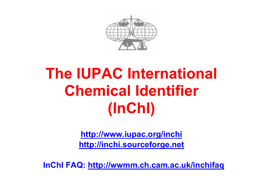

# **The IUPAC International Chemical Identifier (InChI)**

**http://www.iupac.org/inchi http://inchi.sourceforge.net**

**InChI FAQ: http://wwmm.ch.cam.ac.uk/inchifaq**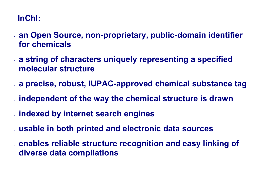### **InChI:**

- **an Open Source, non-proprietary, public-domain identifier for chemicals**
- **a string of characters uniquely representing a specified molecular structure**
- **a precise, robust, IUPAC-approved chemical substance tag**
- **independent of the way the chemical structure is drawn**
- **indexed by internet search engines**
- **usable in both printed and electronic data sources**
- **enables reliable structure recognition and easy linking of diverse data compilations**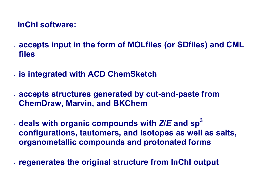#### **InChI software:**

- **accepts input in the form of MOLfiles (or SDfiles) and CML files**
- **is integrated with ACD ChemSketch**
- **accepts structures generated by cut-and-paste from ChemDraw, Marvin, and BKChem**
- **deals with organic compounds with** *Z***/***E* **and sp<sup>3</sup> configurations, tautomers, and isotopes as well as salts, organometallic compounds and protonated forms**
- **regenerates the original structure from InChI output**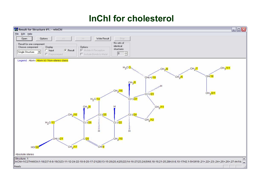## **InChI for cholesterol**

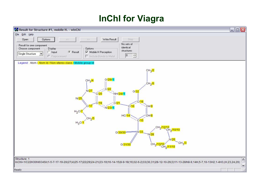# **InChI for Viagra**

| Result for Structure #1, mobile H. - winChi                                                                                                                                                                                                                                                                                                                                                                                                                                   | $\Box$ D $X$        |
|-------------------------------------------------------------------------------------------------------------------------------------------------------------------------------------------------------------------------------------------------------------------------------------------------------------------------------------------------------------------------------------------------------------------------------------------------------------------------------|---------------------|
| File Edit Help                                                                                                                                                                                                                                                                                                                                                                                                                                                                |                     |
| Options<br>Write Result<br>Open<br>$\bar{\chi}\bar{\chi}$<br>Stop<br>$<\!$<br>No sets of<br>Result for one component<br>identical<br>Display<br>Choose component<br>Options<br>structures<br>C Result<br>$\cap$ Input<br>Mobile H Perception<br>Single Structure<br>$\overline{\phantom{a}}$<br>$\frac{\mu_{\rm{B}}}{\mu_{\rm{B}}}$<br>$\boxed{0}$<br>T Include Bonds to Metal<br>C Preprocessed                                                                              |                     |
| Legend: Atom / Atom Id / Non-stereo class / Mobile group id                                                                                                                                                                                                                                                                                                                                                                                                                   |                     |
| $CH3$ /2<br>0/29/1<br>CH <sub>3</sub> <sup>14</sup><br>CH <sub>2</sub> /6<br>N/27<br>O/32<br>NH/24//1<br>$\begin{bmatrix} 1 \\ 1 \\ 1 \end{bmatrix}$<br>N/25<br>C/18<br>C/17<br>CH/9<br>C/16<br>N/23//1<br>$H_2$ C/7<br><b>HC/14</b><br>CH/8<br>CH <sub>2</sub> /5<br>$\cdot$ C/15<br>$H_3CI$<br>СН <sub>2</sub> /12/12<br>СН <sub>2</sub> /10/10<br>S/33<br>$0/30/30 =$<br>N/28<br>N/26<br>CH <sub>3</sub> /3<br>CH <sub>2</sub> /13/12<br>0/31/30<br>CH <sub>2</sub> /11/10 |                     |
| Structure: 1                                                                                                                                                                                                                                                                                                                                                                                                                                                                  | $\hat{\phantom{a}}$ |
| InChl=1/C22H30N6O4S/c1-5-7-17-19-20(27(4)25-17)22(29)24-21(23-19)16-14-15(8-9-18(16)32-6-2)33(30,31)28-12-10-26(3)11-13-28/h8-9,14H,5-7,10-13H2,1-4H3,(H,23,24,29)                                                                                                                                                                                                                                                                                                            | $\checkmark$        |
| Ready                                                                                                                                                                                                                                                                                                                                                                                                                                                                         |                     |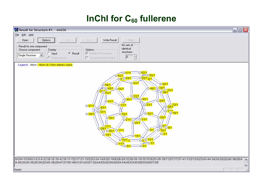# InChl for C<sub>60</sub> fullerene

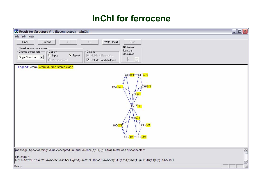# **InChI for ferrocene**

| $\Box$ $\Box$ $\times$<br>36 Result for Structure #1. (Reconnected) - winChi                                                                                                                                                                                                                                                                            |                       |  |  |
|---------------------------------------------------------------------------------------------------------------------------------------------------------------------------------------------------------------------------------------------------------------------------------------------------------------------------------------------------------|-----------------------|--|--|
| Eile<br>Edit Help                                                                                                                                                                                                                                                                                                                                       |                       |  |  |
| Write Result<br>Stop<br>Options<br>Open<br>$\gg$<br>$<<$<br>No sets of<br>Result for one component<br>identical<br>Choose component<br>Display<br>Options<br>structures<br>C Result<br>Mobile H Perception<br>$\cap$ Input<br>Single Structure<br>$\blacktriangledown$<br>0<br>$\frac{\lambda}{\lambda}$<br>Iv Include Bonds to Metal<br>C Preprocessed |                       |  |  |
| Legend: Atom / Atom Id / Non-stereo class<br>CH/9/1-CH177/1<br>CH/6/1<br>HC/10/<br>CH/8/1<br>$Fe+2/11$<br>$\int_{CH/4/1}^{11}$<br>CH/5/1<br>HC/2I<br>CH/1/1-CH 73/1                                                                                                                                                                                     |                       |  |  |
| Thessage: type="warning" value="Accepted unusual valence(s): C(5); C-1(4); Metal was disconnected"                                                                                                                                                                                                                                                      | $\hat{\ }$            |  |  |
| Structure: 1<br>InChl=1/2C5H5.Fe/c2*1-2-4-5-3-1;/h2*1-5H;/q2*-1;+2/rC10H10Fe/c1-2-4-5-3(1)11(1,2,4,5)6-7(11)9(11)10(11)8(6)11/h1-10H                                                                                                                                                                                                                    | $\mathbf{\mathsf{v}}$ |  |  |
| Ready                                                                                                                                                                                                                                                                                                                                                   |                       |  |  |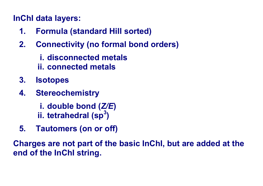# **InChI data layers:**

- **1. Formula (standard Hill sorted)**
- **2. Connectivity (no formal bond orders)** 
	- **i. disconnected metals**
	- **ii. connected metals**
- **3. Isotopes**
- **4. Stereochemistry** 
	- **i. double bond (***Z/E***)**
	- **ii. tetrahedral (sp3)**
- **5. Tautomers (on or off)**

**Charges are not part of the basic InChI, but are added at the end of the InChI string.**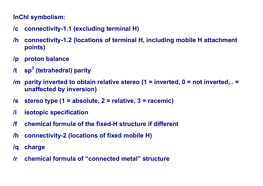#### **InChI symbolism:**

- **/c connectivity-1.1 (excluding terminal H)**
- **/h connectivity-1.2 (locations of terminal H, including mobile H attachment points)**
- **/p proton balance**
- **/t sp3 (tetrahedral) parity**
- **/m parity inverted to obtain relative stereo (1 = inverted, 0 = not inverted, . = unaffected by inversion)**
- **/s stereo type (1 = absolute, 2 = relative, 3 = racemic)**
- **/i isotopic specification**
- **/f chemical formula of the fixed-H structure if different**
- **/h connectivity-2 (locations of fixed mobile H)**
- **/q charge**
- **/r chemical formula of "connected metal" structure**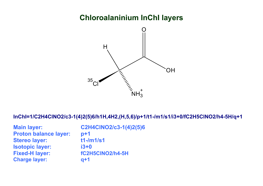#### **Chloroalaninium InChI layers**



**InChI=1/C2H4ClNO2/c3-1(4)2(5)6/h1H,4H2,(H,5,6)/p+1/t1-/m1/s1/i3+0/fC2H5ClNO2/h4-5H/q+1** 

| <b>Main layer:</b>           | C2H4CINO2/c3-1(4)2(5)6 |
|------------------------------|------------------------|
| <b>Proton balance layer:</b> | $p+1$                  |
| <b>Stereo layer:</b>         | $t1$ -/m $1/s1$        |
| <b>Isotopic layer:</b>       | $i3+0$                 |
| <b>Fixed-H layer:</b>        | fC2H5CINO2/h4-5H       |
| <b>Charge layer:</b>         | $q+1$                  |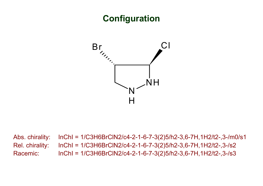# **Configuration**



Abs. chirality: InChI = 1/C3H6BrClN2/c4-2-1-6-7-3(2)5/h2-3,6-7H,1H2/t2-,3-/m0/s1 Rel. chirality: InChI = 1/C3H6BrClN2/c4-2-1-6-7-3(2)5/h2-3,6-7H,1H2/t2-,3-/s2 Racemic: InChI = 1/C3H6BrClN2/c4-2-1-6-7-3(2)5/h2-3,6-7H,1H2/t2-,3-/s3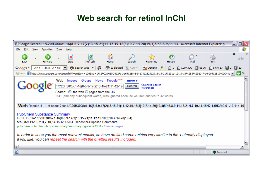### **Web search for retinol InChI**

|                                                                                                                                                                                                                                                                                                                                                                                                                                                                                                   | 6 Google Search: 1/C20H30O/c1-16(8-6-9-17(2)13-15-21)11-12-19-18(3)10-7-14-20(19,4)5/h6,8-9,11-13 - Microsoft Internet Explorer p                |                                            |                               |                                        | $ \vert\vert\vert$ $\vert$ $\times$ |  |  |
|---------------------------------------------------------------------------------------------------------------------------------------------------------------------------------------------------------------------------------------------------------------------------------------------------------------------------------------------------------------------------------------------------------------------------------------------------------------------------------------------------|--------------------------------------------------------------------------------------------------------------------------------------------------|--------------------------------------------|-------------------------------|----------------------------------------|-------------------------------------|--|--|
| <b>Eile</b><br>Edit<br>View<br>Favorites                                                                                                                                                                                                                                                                                                                                                                                                                                                          | <b>Tools</b><br>Help                                                                                                                             |                                            |                               |                                        |                                     |  |  |
| <b>Back</b><br>Forward                                                                                                                                                                                                                                                                                                                                                                                                                                                                            | e<br>×<br>Stop<br>Refresh                                                                                                                        | G<br>Search<br>Home                        | G.<br>Favorites<br>History    | Print<br>Mail                          | $\rightarrow$<br>Links              |  |  |
| Google $ +, 12-11+, 16-8+, 17-13+$                                                                                                                                                                                                                                                                                                                                                                                                                                                                | Search Web                                                                                                                                       | 早 11 blocked<br>图 AutoFill<br>$\mathbf{v}$ | [5ି∖ 1<br><b>20</b> Options & | ିଣ୍ଡି C20H30O ଗୁଣ 16<br><b>Q</b> 86917 | ାରି 2<br>$\sqrt{6}$ 13              |  |  |
|                                                                                                                                                                                                                                                                                                                                                                                                                                                                                                   | Address   http://www.google.co.uk/search?hl=en&biw=1243&q=1%2FC20H30O%2Fc1-16%288-6-9-17%282%2913-15-21%2911-12-19-18%283%2910-7-14-20%2819%2C4% |                                            |                               |                                        | ∣→<br>Go                            |  |  |
| News Froogle <sup>New!</sup><br>Web<br>Groups<br>Images<br>more »<br>Advanced Search<br>1/C20H30O/c1-16(8-6-9-17(2)13-15-21)11-12-19-<br>Search<br>Preferences<br>Search: ⊙ the web ○ pages from the UK<br>"14" (and any subsequent words) was ignored because we limit queries to 32 words.<br>Web Results 1 - 1 of about 2 for 1/C20H30O/c1-16(8-6-9-17(2)13-15-21)11-12-19-18(3)10-7-14-20(19,4)5/h6,8-9,11-13,21H,7,10,14-15H2,1-5H3/b9-6+,12-11+,16                                          |                                                                                                                                                  |                                            |                               |                                        |                                     |  |  |
| PubChem Substance Summary<br>InChl: InChl=1/C20H30O/c1-16(8-6-9-17(2)13-15-21)11-12-19-18(3)10-7-14-20(19,4)<br>5/h6,8-9,11-13,21H,7,10,14-15H2,1-5H3. Depositor-Supplied Comments:<br>pubchem.ncbi.nlm.nih.gov/summary/summary.cgi?sid=3137 - Similar pages<br>In order to show you the most relevant results, we have omitted some entries very similar to the 1 already displayed.<br>If you like, you can repeat the search with the omitted results included.<br>$\vert$ < $\vert$<br>▸<br>Ш |                                                                                                                                                  |                                            |                               |                                        |                                     |  |  |
| 8                                                                                                                                                                                                                                                                                                                                                                                                                                                                                                 |                                                                                                                                                  |                                            |                               |                                        | <b>O</b> Internet                   |  |  |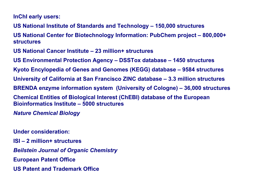**InChI early users:** 

**US National Institute of Standards and Technology – 150,000 structures** 

**US National Center for Biotechnology Information: PubChem project – 800,000+ structures** 

**US National Cancer Institute – 23 million+ structures** 

**US Environmental Protection Agency – DSSTox database – 1450 structures** 

**Kyoto Encylopedia of Genes and Genomes (KEGG) database – 9584 structures** 

**University of California at San Francisco ZINC database – 3.3 million structures** 

**BRENDA enzyme information system (University of Cologne) – 36,000 structures** 

**Chemical Entities of Biological Interest (ChEBI) database of the European Bioinformatics Institute – 5000 structures** 

*Nature Chemical Biology* 

**Under consideration:** 

**ISI – 2 million+ structures** 

*Beilstein Journal of Organic Chemistry* 

**European Patent Office** 

**US Patent and Trademark Office**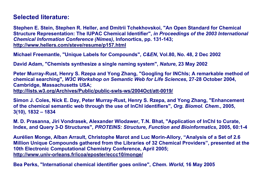#### **Selected literature:**

**Stephen E. Stein, Stephen R. Heller, and Dmitrii Tchekhovskoi, "An Open Standard for Chemical Structure Representation: The IUPAC Chemical Identifier",** *in Proceedings of the 2003 International Chemical Information Conference (Nimes)***, Infonortics, pp. 131-143; http://www.hellers.com/steve/resume/p157.html**

**Michael Freemantle, "Unique Labels for Compounds",** *C&EN***, Vol.80, No. 48, 2 Dec 2002** 

**David Adam, "Chemists synthesize a single naming system",** *Nature***, 23 May 2002** 

**Peter Murray-Rust, Henry S. Rzepa and Yong Zhang, "Googling for INChIs; A remarkable method of chemical searching",** *W3C Workshop on Semantic Web for Life Sciences***, 27-28 October 2004, Cambridge, Massachusetts USA; http://lists.w3.org/Archives/Public/public-swls-ws/2004Oct/att-0019/**

**Simon J. Coles, Nick E. Day, Peter Murray-Rust, Henry S. Rzepa, and Yong Zhang, "Enhancement of the chemical semantic web through the use of InChI identifiers",** *Org. Biomol. Chem.***, 2005, 3(10), 1832 – 1834** 

**M. D. Prasanna, Jiri Vondrasek, Alexander Wlodawer, T.N. Bhat, "Application of InChI to Curate, Index, and Query 3-D Structures",** *PROTEINS: Structure, Function and Bioinformatics***, 2005, 60:1-4** 

**Aurélien Monge, Alban Arrault, Christophe Marot and Luc Morin-Allory, "Analysis of a Set of 2.6 Million Unique Compounds gathered from the Libraries of 32 Chemical Providers", presented at the 10th Electronic Computational Chemistry Conference, April 2005; http://www.univ-orleans.fr/icoa/eposter/eccc10/monge/**

**Bea Perks, "International chemical identifier goes online",** *Chem. World***, 16 May 2005**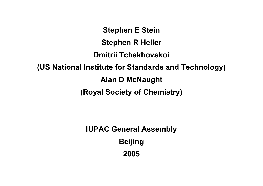**Stephen E Stein Stephen R Heller Dmitrii Tchekhovskoi (US National Institute for Standards and Technology) Alan D McNaught (Royal Society of Chemistry)** 

> **IUPAC General Assembly Beijing 2005**